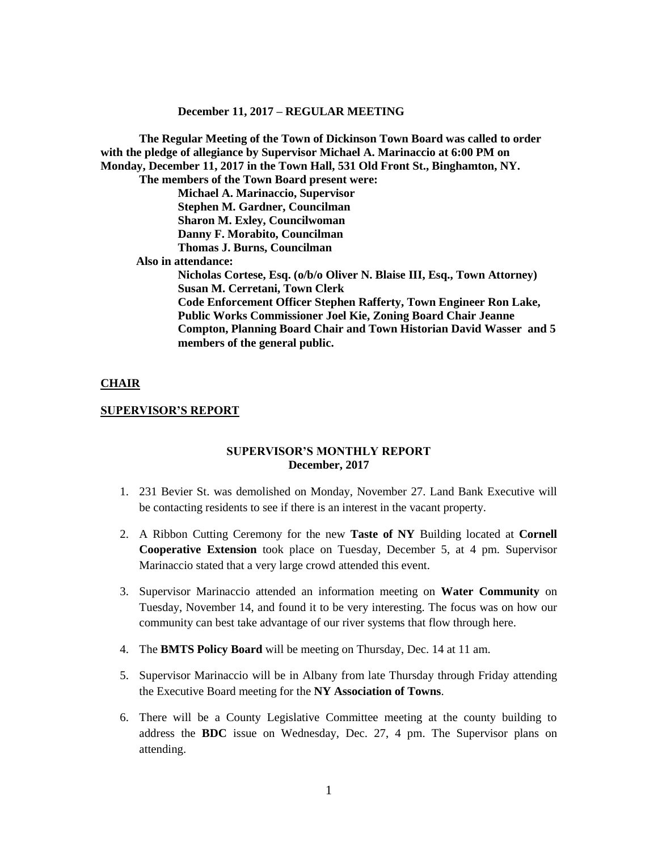**The Regular Meeting of the Town of Dickinson Town Board was called to order with the pledge of allegiance by Supervisor Michael A. Marinaccio at 6:00 PM on Monday, December 11, 2017 in the Town Hall, 531 Old Front St., Binghamton, NY. The members of the Town Board present were: Michael A. Marinaccio, Supervisor Stephen M. Gardner, Councilman Sharon M. Exley, Councilwoman Danny F. Morabito, Councilman Thomas J. Burns, Councilman Also in attendance: Nicholas Cortese, Esq. (o/b/o Oliver N. Blaise III, Esq., Town Attorney) Susan M. Cerretani, Town Clerk Code Enforcement Officer Stephen Rafferty, Town Engineer Ron Lake, Public Works Commissioner Joel Kie, Zoning Board Chair Jeanne Compton, Planning Board Chair and Town Historian David Wasser and 5 members of the general public.**

#### **CHAIR**

#### **SUPERVISOR'S REPORT**

#### **SUPERVISOR'S MONTHLY REPORT December, 2017**

- 1. 231 Bevier St. was demolished on Monday, November 27. Land Bank Executive will be contacting residents to see if there is an interest in the vacant property.
- 2. A Ribbon Cutting Ceremony for the new **Taste of NY** Building located at **Cornell Cooperative Extension** took place on Tuesday, December 5, at 4 pm. Supervisor Marinaccio stated that a very large crowd attended this event.
- 3. Supervisor Marinaccio attended an information meeting on **Water Community** on Tuesday, November 14, and found it to be very interesting. The focus was on how our community can best take advantage of our river systems that flow through here.
- 4. The **BMTS Policy Board** will be meeting on Thursday, Dec. 14 at 11 am.
- 5. Supervisor Marinaccio will be in Albany from late Thursday through Friday attending the Executive Board meeting for the **NY Association of Towns**.
- 6. There will be a County Legislative Committee meeting at the county building to address the **BDC** issue on Wednesday, Dec. 27, 4 pm. The Supervisor plans on attending.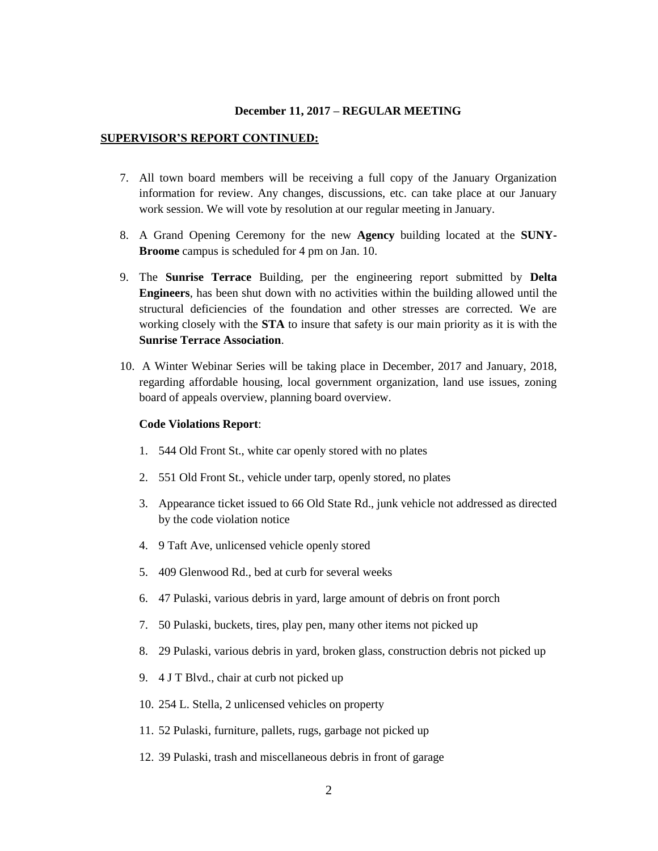#### **SUPERVISOR'S REPORT CONTINUED:**

- 7. All town board members will be receiving a full copy of the January Organization information for review. Any changes, discussions, etc. can take place at our January work session. We will vote by resolution at our regular meeting in January.
- 8. A Grand Opening Ceremony for the new **Agency** building located at the **SUNY-Broome** campus is scheduled for 4 pm on Jan. 10.
- 9. The **Sunrise Terrace** Building, per the engineering report submitted by **Delta Engineers**, has been shut down with no activities within the building allowed until the structural deficiencies of the foundation and other stresses are corrected. We are working closely with the **STA** to insure that safety is our main priority as it is with the **Sunrise Terrace Association**.
- 10. A Winter Webinar Series will be taking place in December, 2017 and January, 2018, regarding affordable housing, local government organization, land use issues, zoning board of appeals overview, planning board overview.

#### **Code Violations Report**:

- 1. 544 Old Front St., white car openly stored with no plates
- 2. 551 Old Front St., vehicle under tarp, openly stored, no plates
- 3. Appearance ticket issued to 66 Old State Rd., junk vehicle not addressed as directed by the code violation notice
- 4. 9 Taft Ave, unlicensed vehicle openly stored
- 5. 409 Glenwood Rd., bed at curb for several weeks
- 6. 47 Pulaski, various debris in yard, large amount of debris on front porch
- 7. 50 Pulaski, buckets, tires, play pen, many other items not picked up
- 8. 29 Pulaski, various debris in yard, broken glass, construction debris not picked up
- 9. 4 J T Blvd., chair at curb not picked up
- 10. 254 L. Stella, 2 unlicensed vehicles on property
- 11. 52 Pulaski, furniture, pallets, rugs, garbage not picked up
- 12. 39 Pulaski, trash and miscellaneous debris in front of garage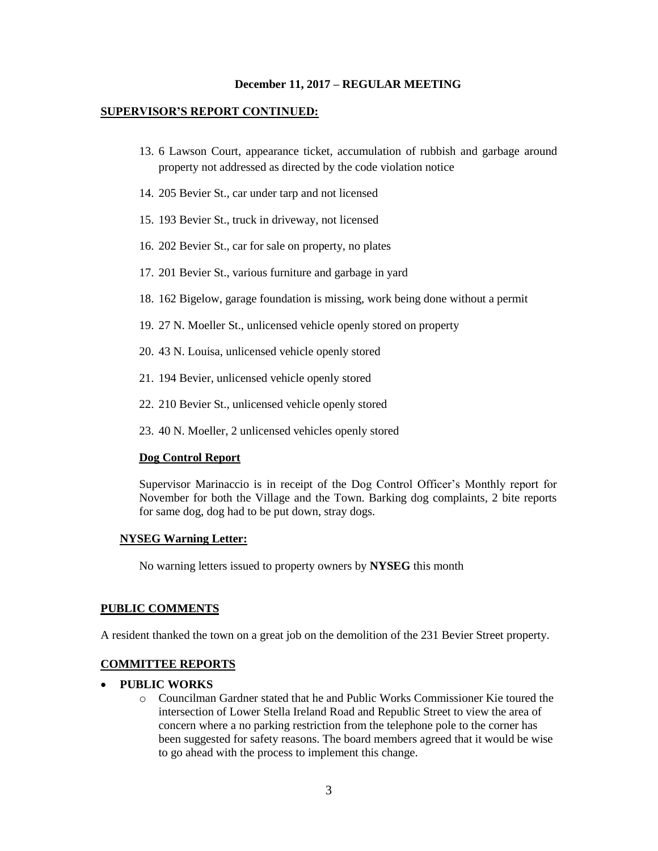#### **SUPERVISOR'S REPORT CONTINUED:**

- 13. 6 Lawson Court, appearance ticket, accumulation of rubbish and garbage around property not addressed as directed by the code violation notice
- 14. 205 Bevier St., car under tarp and not licensed
- 15. 193 Bevier St., truck in driveway, not licensed
- 16. 202 Bevier St., car for sale on property, no plates
- 17. 201 Bevier St., various furniture and garbage in yard
- 18. 162 Bigelow, garage foundation is missing, work being done without a permit
- 19. 27 N. Moeller St., unlicensed vehicle openly stored on property
- 20. 43 N. Louisa, unlicensed vehicle openly stored
- 21. 194 Bevier, unlicensed vehicle openly stored
- 22. 210 Bevier St., unlicensed vehicle openly stored
- 23. 40 N. Moeller, 2 unlicensed vehicles openly stored

#### **Dog Control Report**

Supervisor Marinaccio is in receipt of the Dog Control Officer's Monthly report for November for both the Village and the Town. Barking dog complaints, 2 bite reports for same dog, dog had to be put down, stray dogs.

#### **NYSEG Warning Letter:**

No warning letters issued to property owners by **NYSEG** this month

### **PUBLIC COMMENTS**

A resident thanked the town on a great job on the demolition of the 231 Bevier Street property.

#### **COMMITTEE REPORTS**

#### **PUBLIC WORKS**

o Councilman Gardner stated that he and Public Works Commissioner Kie toured the intersection of Lower Stella Ireland Road and Republic Street to view the area of concern where a no parking restriction from the telephone pole to the corner has been suggested for safety reasons. The board members agreed that it would be wise to go ahead with the process to implement this change.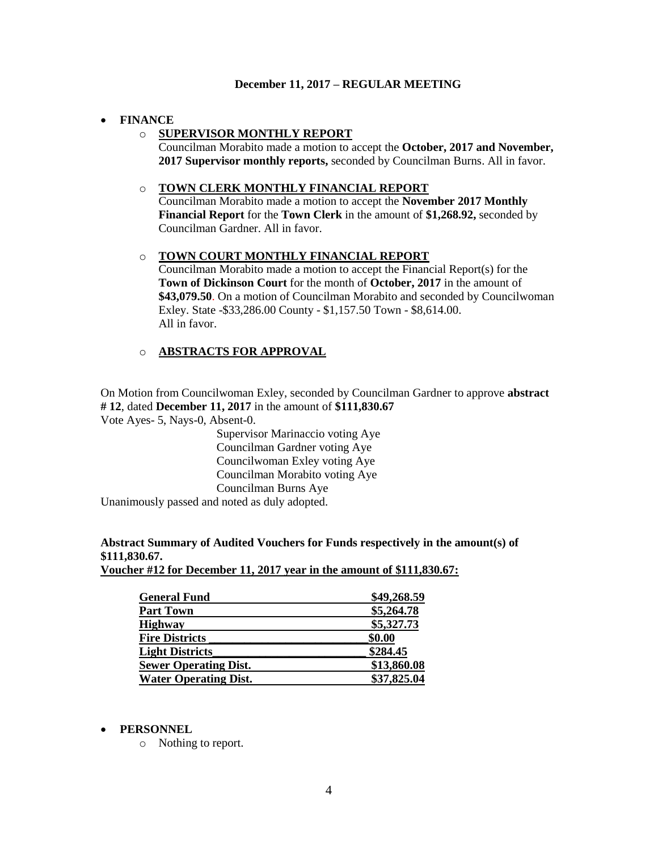### **FINANCE**

## o **SUPERVISOR MONTHLY REPORT**

Councilman Morabito made a motion to accept the **October, 2017 and November, 2017 Supervisor monthly reports,** seconded by Councilman Burns. All in favor.

### o **TOWN CLERK MONTHLY FINANCIAL REPORT**

Councilman Morabito made a motion to accept the **November 2017 Monthly Financial Report** for the **Town Clerk** in the amount of **\$1,268.92,** seconded by Councilman Gardner. All in favor.

## o **TOWN COURT MONTHLY FINANCIAL REPORT**

Councilman Morabito made a motion to accept the Financial Report(s) for the **Town of Dickinson Court** for the month of **October, 2017** in the amount of **\$43,079.50**. On a motion of Councilman Morabito and seconded by Councilwoman Exley. State -\$33,286.00 County - \$1,157.50 Town - \$8,614.00. All in favor.

## o **ABSTRACTS FOR APPROVAL**

On Motion from Councilwoman Exley, seconded by Councilman Gardner to approve **abstract # 12**, dated **December 11, 2017** in the amount of **\$111,830.67** Vote Ayes- 5, Nays-0, Absent-0.

> Supervisor Marinaccio voting Aye Councilman Gardner voting Aye Councilwoman Exley voting Aye Councilman Morabito voting Aye Councilman Burns Aye

Unanimously passed and noted as duly adopted.

## **Abstract Summary of Audited Vouchers for Funds respectively in the amount(s) of \$111,830.67.**

**Voucher #12 for December 11, 2017 year in the amount of \$111,830.67:** 

| \$49,268.59 |
|-------------|
| \$5,264.78  |
| \$5,327.73  |
| \$0.00      |
| \$284.45    |
| \$13,860.08 |
| \$37,825.04 |
|             |

#### **PERSONNEL**

o Nothing to report.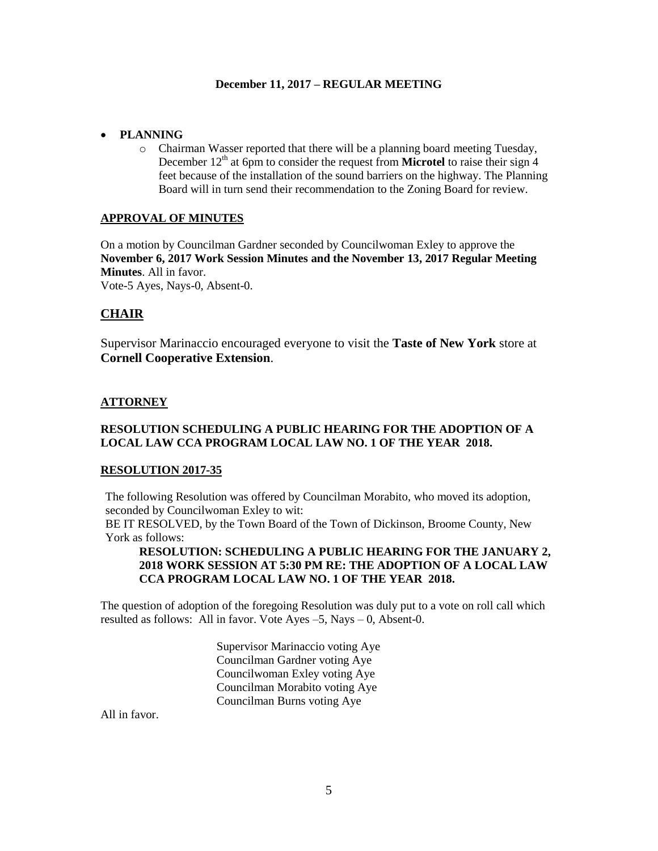### **PLANNING**

o Chairman Wasser reported that there will be a planning board meeting Tuesday, December  $12<sup>th</sup>$  at 6pm to consider the request from **Microtel** to raise their sign 4 feet because of the installation of the sound barriers on the highway. The Planning Board will in turn send their recommendation to the Zoning Board for review.

### **APPROVAL OF MINUTES**

On a motion by Councilman Gardner seconded by Councilwoman Exley to approve the **November 6, 2017 Work Session Minutes and the November 13, 2017 Regular Meeting Minutes**. All in favor. Vote-5 Ayes, Nays-0, Absent-0.

## **CHAIR**

Supervisor Marinaccio encouraged everyone to visit the **Taste of New York** store at **Cornell Cooperative Extension**.

## **ATTORNEY**

## **RESOLUTION SCHEDULING A PUBLIC HEARING FOR THE ADOPTION OF A LOCAL LAW CCA PROGRAM LOCAL LAW NO. 1 OF THE YEAR 2018.**

#### **RESOLUTION 2017-35**

The following Resolution was offered by Councilman Morabito, who moved its adoption, seconded by Councilwoman Exley to wit:

BE IT RESOLVED, by the Town Board of the Town of Dickinson, Broome County, New York as follows:

## **RESOLUTION: SCHEDULING A PUBLIC HEARING FOR THE JANUARY 2, 2018 WORK SESSION AT 5:30 PM RE: THE ADOPTION OF A LOCAL LAW CCA PROGRAM LOCAL LAW NO. 1 OF THE YEAR 2018.**

The question of adoption of the foregoing Resolution was duly put to a vote on roll call which resulted as follows: All in favor. Vote Ayes –5, Nays – 0, Absent-0.

> Supervisor Marinaccio voting Aye Councilman Gardner voting Aye Councilwoman Exley voting Aye Councilman Morabito voting Aye Councilman Burns voting Aye

All in favor.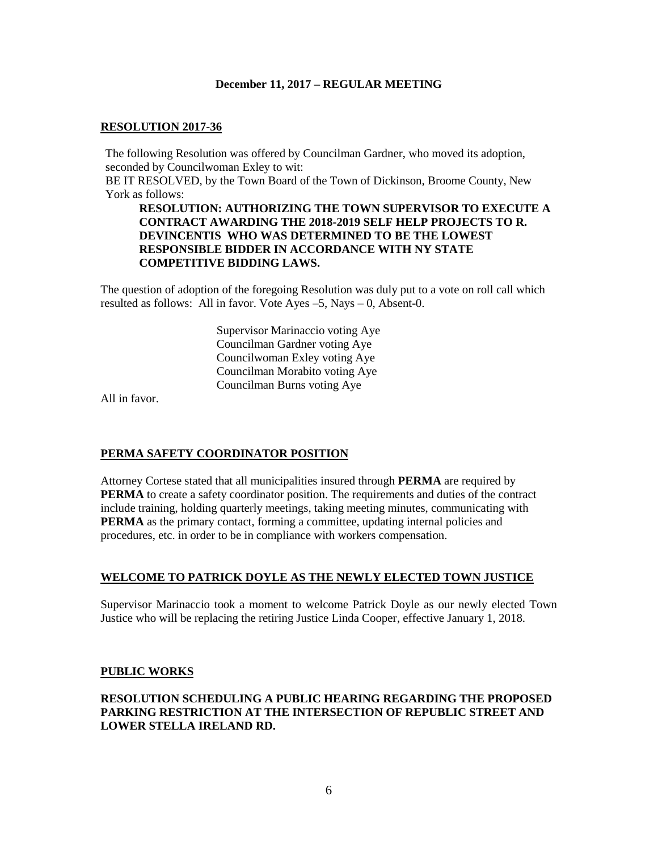## **RESOLUTION 2017-36**

The following Resolution was offered by Councilman Gardner, who moved its adoption, seconded by Councilwoman Exley to wit: BE IT RESOLVED, by the Town Board of the Town of Dickinson, Broome County, New York as follows:

### **RESOLUTION: AUTHORIZING THE TOWN SUPERVISOR TO EXECUTE A CONTRACT AWARDING THE 2018-2019 SELF HELP PROJECTS TO R. DEVINCENTIS WHO WAS DETERMINED TO BE THE LOWEST RESPONSIBLE BIDDER IN ACCORDANCE WITH NY STATE COMPETITIVE BIDDING LAWS.**

The question of adoption of the foregoing Resolution was duly put to a vote on roll call which resulted as follows: All in favor. Vote Ayes –5, Nays – 0, Absent-0.

> Supervisor Marinaccio voting Aye Councilman Gardner voting Aye Councilwoman Exley voting Aye Councilman Morabito voting Aye Councilman Burns voting Aye

All in favor.

## **PERMA SAFETY COORDINATOR POSITION**

Attorney Cortese stated that all municipalities insured through **PERMA** are required by **PERMA** to create a safety coordinator position. The requirements and duties of the contract include training, holding quarterly meetings, taking meeting minutes, communicating with **PERMA** as the primary contact, forming a committee, updating internal policies and procedures, etc. in order to be in compliance with workers compensation.

## **WELCOME TO PATRICK DOYLE AS THE NEWLY ELECTED TOWN JUSTICE**

Supervisor Marinaccio took a moment to welcome Patrick Doyle as our newly elected Town Justice who will be replacing the retiring Justice Linda Cooper, effective January 1, 2018.

#### **PUBLIC WORKS**

## **RESOLUTION SCHEDULING A PUBLIC HEARING REGARDING THE PROPOSED PARKING RESTRICTION AT THE INTERSECTION OF REPUBLIC STREET AND LOWER STELLA IRELAND RD.**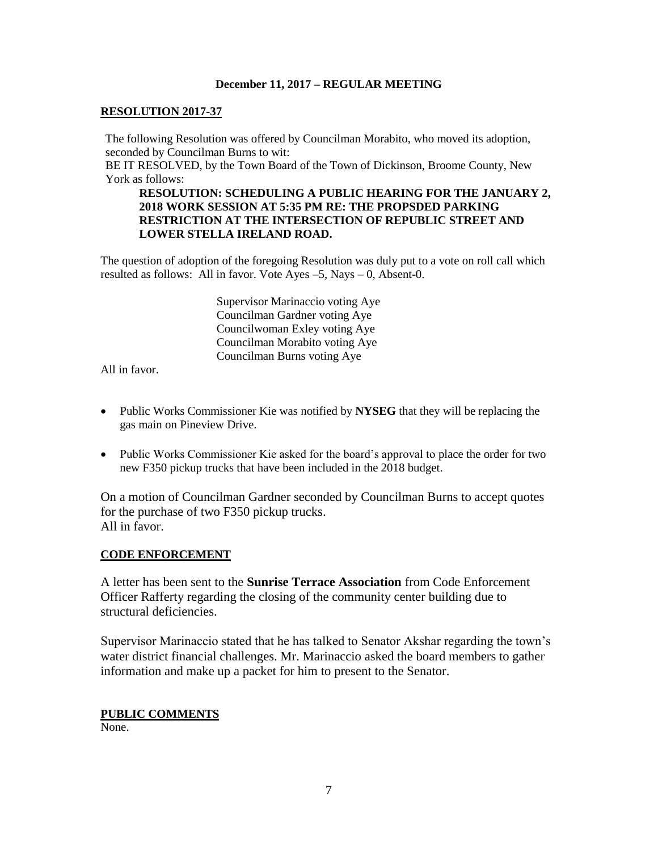## **RESOLUTION 2017-37**

The following Resolution was offered by Councilman Morabito, who moved its adoption, seconded by Councilman Burns to wit:

BE IT RESOLVED, by the Town Board of the Town of Dickinson, Broome County, New York as follows:

## **RESOLUTION: SCHEDULING A PUBLIC HEARING FOR THE JANUARY 2, 2018 WORK SESSION AT 5:35 PM RE: THE PROPSDED PARKING RESTRICTION AT THE INTERSECTION OF REPUBLIC STREET AND LOWER STELLA IRELAND ROAD.**

The question of adoption of the foregoing Resolution was duly put to a vote on roll call which resulted as follows: All in favor. Vote Ayes –5, Nays – 0, Absent-0.

> Supervisor Marinaccio voting Aye Councilman Gardner voting Aye Councilwoman Exley voting Aye Councilman Morabito voting Aye Councilman Burns voting Aye

All in favor.

- Public Works Commissioner Kie was notified by **NYSEG** that they will be replacing the gas main on Pineview Drive.
- Public Works Commissioner Kie asked for the board's approval to place the order for two new F350 pickup trucks that have been included in the 2018 budget.

On a motion of Councilman Gardner seconded by Councilman Burns to accept quotes for the purchase of two F350 pickup trucks. All in favor.

## **CODE ENFORCEMENT**

A letter has been sent to the **Sunrise Terrace Association** from Code Enforcement Officer Rafferty regarding the closing of the community center building due to structural deficiencies.

Supervisor Marinaccio stated that he has talked to Senator Akshar regarding the town's water district financial challenges. Mr. Marinaccio asked the board members to gather information and make up a packet for him to present to the Senator.

## **PUBLIC COMMENTS**

None.